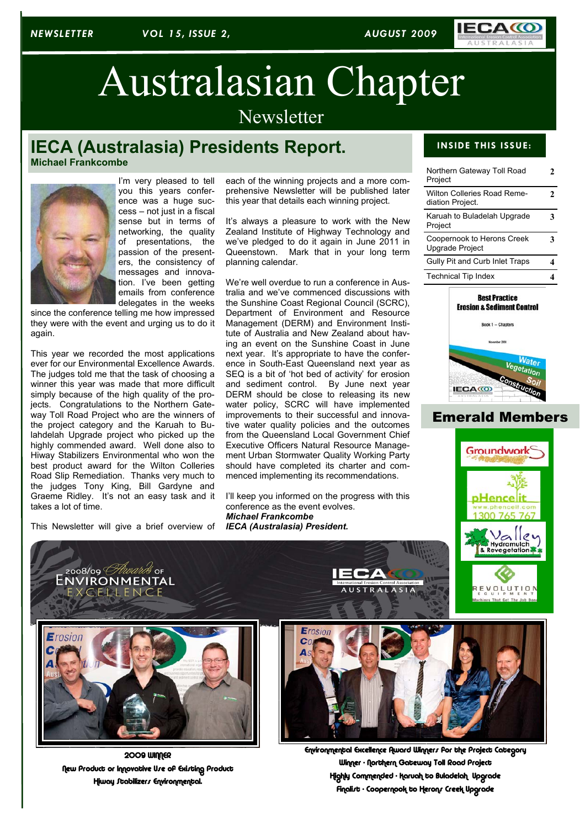

# Australasian Chapter

**Newsletter** 

# **IECA (Australasia) Presidents Report.**

**Michael Frankcombe**



I'm very pleased to tell you this years conference was a huge success – not just in a fiscal sense but in terms of networking, the quality of presentations, the passion of the presenters, the consistency of messages and innovation. I've been getting emails from conference delegates in the weeks

since the conference telling me how impressed they were with the event and urging us to do it again.

This year we recorded the most applications ever for our Environmental Excellence Awards. The judges told me that the task of choosing a winner this year was made that more difficult simply because of the high quality of the projects. Congratulations to the Northern Gateway Toll Road Project who are the winners of the project category and the Karuah to Bulahdelah Upgrade project who picked up the highly commended award. Well done also to Hiway Stabilizers Environmental who won the best product award for the Wilton Colleries Road Slip Remediation. Thanks very much to the judges Tony King, Bill Gardyne and Graeme Ridley. It's not an easy task and it takes a lot of time.

This Newsletter will give a brief overview of

EXCELLENCE

each of the winning projects and a more comprehensive Newsletter will be published later this year that details each winning project.

It's always a pleasure to work with the New Zealand Institute of Highway Technology and we've pledged to do it again in June 2011 in Queenstown. Mark that in your long term planning calendar.

We're well overdue to run a conference in Australia and we've commenced discussions with the Sunshine Coast Regional Council (SCRC), Department of Environment and Resource Management (DERM) and Environment Institute of Australia and New Zealand about having an event on the Sunshine Coast in June next year. It's appropriate to have the conference in South-East Queensland next year as SEQ is a bit of 'hot bed of activity' for erosion and sediment control. By June next year DERM should be close to releasing its new water policy, SCRC will have implemented improvements to their successful and innovative water quality policies and the outcomes from the Queensland Local Government Chief Executive Officers Natural Resource Management Urban Stormwater Quality Working Party should have completed its charter and commenced implementing its recommendations.

I'll keep you informed on the progress with this conference as the event evolves. *Michael Frankcombe IECA (Australasia) President.*

#### **INSIDE THIS ISSUE:**

| Northern Gateway Toll Road<br>Project                |   |  |
|------------------------------------------------------|---|--|
| Wilton Colleries Road Reme-<br>diation Project.      | 7 |  |
| Karuah to Buladelah Upgrade<br>Project               |   |  |
| Coopernook to Herons Creek<br><b>Upgrade Project</b> |   |  |
| Gully Pit and Curb Inlet Traps                       |   |  |
| <b>Technical Tip Index</b>                           |   |  |



## Emerald Members





**2009 WINNER** New Product or Innovative Use of Existing Product Hiway Stabilizers Environmental.



USTRALASIA

Environmental Excellence Award Winners for the Project Category Winner - Northern Gateway Toll Road Project Highly Commended - Karuah to Buladelah Upgrade Finalist - Coopernook to Herons Creek Upgrade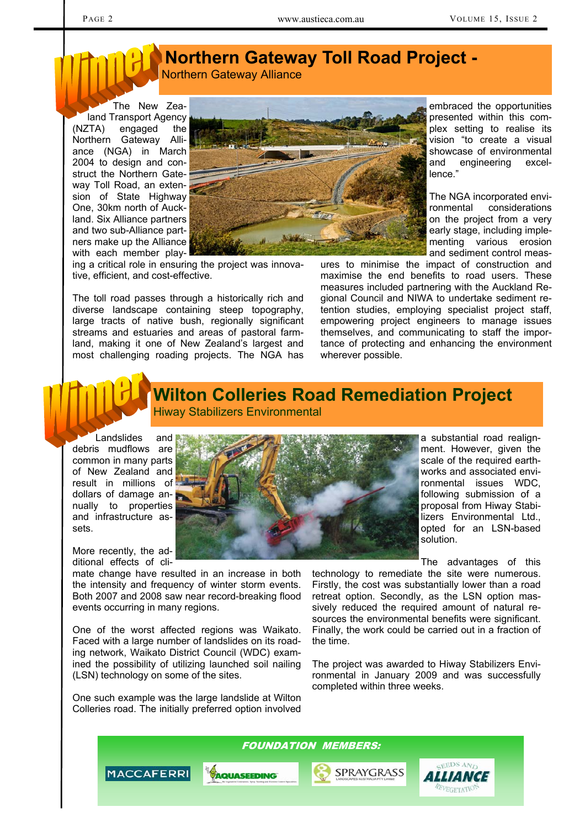# **Northern Gateway Toll Road Project -**  Northern Gateway Alliance

The New Zealand Transport Agency (NZTA) engaged the Northern Gateway Alliance (NGA) in March 2004 to design and construct the Northern Gateway Toll Road, an extension of State Highway One, 30km north of Auckland. Six Alliance partners and two sub-Alliance partners make up the Alliance with each member play-



ing a critical role in ensuring the project was innovative, efficient, and cost-effective.

The toll road passes through a historically rich and diverse landscape containing steep topography, large tracts of native bush, regionally significant streams and estuaries and areas of pastoral farmland, making it one of New Zealand's largest and most challenging roading projects. The NGA has embraced the opportunities presented within this complex setting to realise its vision "to create a visual showcase of environmental and engineering excellence."

The NGA incorporated environmental considerations on the project from a very early stage, including implementing various erosion and sediment control meas-

ures to minimise the impact of construction and maximise the end benefits to road users. These measures included partnering with the Auckland Regional Council and NIWA to undertake sediment retention studies, employing specialist project staff, empowering project engineers to manage issues themselves, and communicating to staff the importance of protecting and enhancing the environment wherever possible.

## **Wilton Colleries Road Remediation Project**  Hiway Stabilizers Environmental

Landslides and debris mudflows are common in many parts of New Zealand and result in millions of dollars of damage annually to properties and infrastructure assets.

More recently, the additional effects of cli-

mate change have resulted in an increase in both the intensity and frequency of winter storm events. Both 2007 and 2008 saw near record-breaking flood events occurring in many regions.

One of the worst affected regions was Waikato. Faced with a large number of landslides on its roading network, Waikato District Council (WDC) examined the possibility of utilizing launched soil nailing (LSN) technology on some of the sites.

One such example was the large landslide at Wilton Colleries road. The initially preferred option involved

a substantial road realignment. However, given the scale of the required earthworks and associated environmental issues WDC, following submission of a proposal from Hiway Stabilizers Environmental Ltd., opted for an LSN-based solution.

The advantages of this

technology to remediate the site were numerous. Firstly, the cost was substantially lower than a road retreat option. Secondly, as the LSN option massively reduced the required amount of natural resources the environmental benefits were significant. Finally, the work could be carried out in a fraction of the time.

The project was awarded to Hiway Stabilizers Environmental in January 2009 and was successfully completed within three weeks.

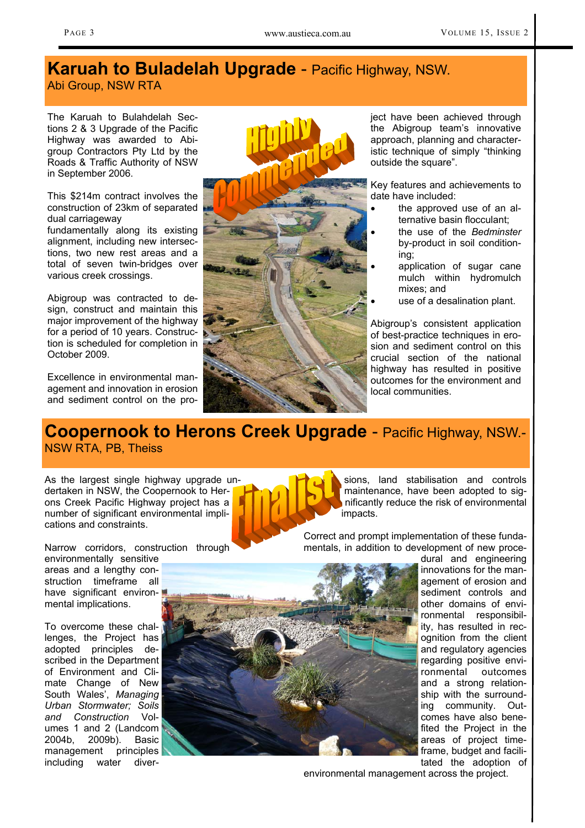# **Karuah to Buladelah Upgrade** - Pacific Highway, NSW.

Abi Group, NSW RTA

The Karuah to Bulahdelah Sections 2 & 3 Upgrade of the Pacific Highway was awarded to Abigroup Contractors Pty Ltd by the Roads & Traffic Authority of NSW in September 2006.

This \$214m contract involves the construction of 23km of separated dual carriageway

fundamentally along its existing alignment, including new intersections, two new rest areas and a total of seven twin-bridges over various creek crossings.

Abigroup was contracted to design, construct and maintain this major improvement of the highway for a period of 10 years. Construction is scheduled for completion in October 2009.

Excellence in environmental management and innovation in erosion and sediment control on the pro-



ject have been achieved through the Abigroup team's innovative approach, planning and characteristic technique of simply "thinking outside the square".

Key features and achievements to date have included:

- the approved use of an alternative basin flocculant;
- the use of the *Bedminster*  by-product in soil conditioning;
- application of sugar cane mulch within hydromulch mixes; and
- use of a desalination plant.

Abigroup's consistent application of best-practice techniques in erosion and sediment control on this crucial section of the national highway has resulted in positive outcomes for the environment and local communities.

# **Coopernook to Herons Creek Upgrade** - Pacific Highway, NSW.- NSW RTA, PB, Theiss

As the largest single highway upgrade undertaken in NSW, the Coopernook to Herons Creek Pacific Highway project has a number of significant environmental implications and constraints.

Narrow corridors, construction through

environmentally sensitive areas and a lengthy construction timeframe all have significant environmental implications.

To overcome these challenges, the Project has adopted principles described in the Department of Environment and Climate Change of New South Wales', *Managing Urban Stormwater; Soils and Construction* Volumes 1 and 2 (Landcom 2004b, 2009b). Basic management including water diver-



sions, land stabilisation and controls maintenance, have been adopted to significantly reduce the risk of environmental impacts.

Correct and prompt implementation of these fundamentals, in addition to development of new proce-



dural and engineering innovations for the management of erosion and sediment controls and other domains of environmental responsibility, has resulted in recognition from the client and regulatory agencies regarding positive environmental outcomes and a strong relationship with the surrounding community. Outcomes have also benefited the Project in the areas of project timeframe, budget and facilitated the adoption of

environmental management across the project.